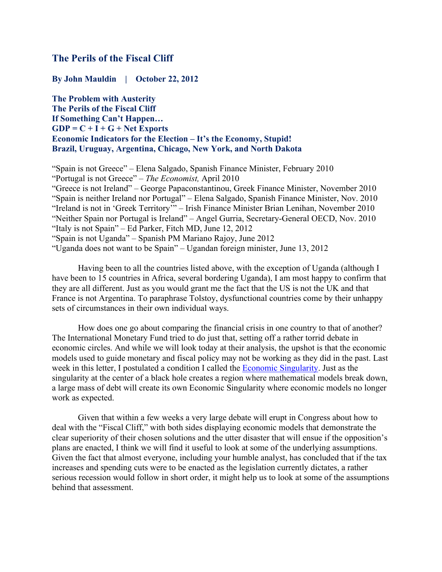# **The Perils of the Fiscal Cliff**

**By John Mauldin | October 22, 2012**

**The Problem with Austerity The Perils of the Fiscal Cliff If Something Can't Happen… GDP = C + I + G + Net Exports Economic Indicators for the Election – It's the Economy, Stupid! Brazil, Uruguay, Argentina, Chicago, New York, and North Dakota**

"Spain is not Greece" – Elena Salgado, Spanish Finance Minister, February 2010 "Portugal is not Greece" – *The Economist,* April 2010 "Greece is not Ireland" – George Papaconstantinou, Greek Finance Minister, November 2010 "Spain is neither Ireland nor Portugal" – Elena Salgado, Spanish Finance Minister, Nov. 2010 "Ireland is not in 'Greek Territory'" – Irish Finance Minister Brian Lenihan, November 2010 "Neither Spain nor Portugal is Ireland" – Angel Gurria, Secretary-General OECD, Nov. 2010 "Italy is not Spain" – Ed Parker, Fitch MD, June 12, 2012 "Spain is not Uganda" – Spanish PM Mariano Rajoy, June 2012 "Uganda does not want to be Spain" – Ugandan foreign minister, June 13, 2012

Having been to all the countries listed above, with the exception of Uganda (although I have been to 15 countries in Africa, several bordering Uganda), I am most happy to confirm that they are all different. Just as you would grant me the fact that the US is not the UK and that France is not Argentina. To paraphrase Tolstoy, dysfunctional countries come by their unhappy sets of circumstances in their own individual ways.

How does one go about comparing the financial crisis in one country to that of another? The International Monetary Fund tried to do just that, setting off a rather torrid debate in economic circles. And while we will look today at their analysis, the upshot is that the economic models used to guide monetary and fiscal policy may not be working as they did in the past. Last week in this letter, I postulated a condition I called the Economic Singularity. Just as the singularity at the center of a black hole creates a region where mathematical models break down, a large mass of debt will create its own Economic Singularity where economic models no longer work as expected.

Given that within a few weeks a very large debate will erupt in Congress about how to deal with the "Fiscal Cliff," with both sides displaying economic models that demonstrate the clear superiority of their chosen solutions and the utter disaster that will ensue if the opposition's plans are enacted, I think we will find it useful to look at some of the underlying assumptions. Given the fact that almost everyone, including your humble analyst, has concluded that if the tax increases and spending cuts were to be enacted as the legislation currently dictates, a rather serious recession would follow in short order, it might help us to look at some of the assumptions behind that assessment.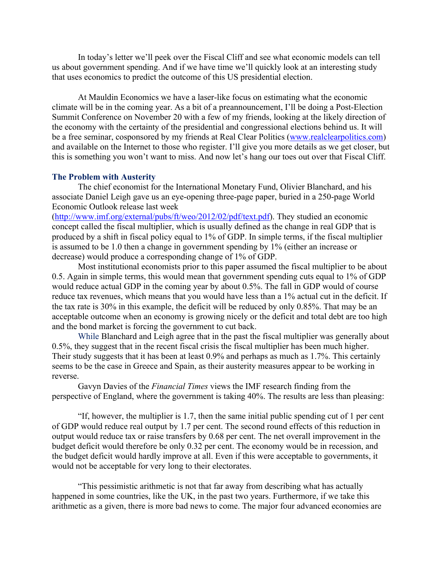In today's letter we'll peek over the Fiscal Cliff and see what economic models can tell us about government spending. And if we have time we'll quickly look at an interesting study that uses economics to predict the outcome of this US presidential election.

At Mauldin Economics we have a laser-like focus on estimating what the economic climate will be in the coming year. As a bit of a preannouncement, I'll be doing a Post-Election Summit Conference on November 20 with a few of my friends, looking at the likely direction of the economy with the certainty of the presidential and congressional elections behind us. It will be a free seminar, cosponsored by my friends at Real Clear Politics (www.realclearpolitics.com) and available on the Internet to those who register. I'll give you more details as we get closer, but this is something you won't want to miss. And now let's hang our toes out over that Fiscal Cliff.

### **The Problem with Austerity**

The chief economist for the International Monetary Fund, Olivier Blanchard, and his associate Daniel Leigh gave us an eye-opening three-page paper, buried in a 250-page World Economic Outlook release last week

(http://www.imf.org/external/pubs/ft/weo/2012/02/pdf/text.pdf). They studied an economic concept called the fiscal multiplier, which is usually defined as the change in real GDP that is produced by a shift in fiscal policy equal to 1% of GDP. In simple terms, if the fiscal multiplier is assumed to be 1.0 then a change in government spending by 1% (either an increase or decrease) would produce a corresponding change of 1% of GDP.

Most institutional economists prior to this paper assumed the fiscal multiplier to be about 0.5. Again in simple terms, this would mean that government spending cuts equal to 1% of GDP would reduce actual GDP in the coming year by about 0.5%. The fall in GDP would of course reduce tax revenues, which means that you would have less than a 1% actual cut in the deficit. If the tax rate is 30% in this example, the deficit will be reduced by only 0.85%. That may be an acceptable outcome when an economy is growing nicely or the deficit and total debt are too high and the bond market is forcing the government to cut back.

While Blanchard and Leigh agree that in the past the fiscal multiplier was generally about 0.5%, they suggest that in the recent fiscal crisis the fiscal multiplier has been much higher. Their study suggests that it has been at least 0.9% and perhaps as much as 1.7%. This certainly seems to be the case in Greece and Spain, as their austerity measures appear to be working in reverse.

Gavyn Davies of the *Financial Times* views the IMF research finding from the perspective of England, where the government is taking 40%. The results are less than pleasing:

"If, however, the multiplier is 1.7, then the same initial public spending cut of 1 per cent of GDP would reduce real output by 1.7 per cent. The second round effects of this reduction in output would reduce tax or raise transfers by 0.68 per cent. The net overall improvement in the budget deficit would therefore be only 0.32 per cent. The economy would be in recession, and the budget deficit would hardly improve at all. Even if this were acceptable to governments, it would not be acceptable for very long to their electorates.

"This pessimistic arithmetic is not that far away from describing what has actually happened in some countries, like the UK, in the past two years. Furthermore, if we take this arithmetic as a given, there is more bad news to come. The major four advanced economies are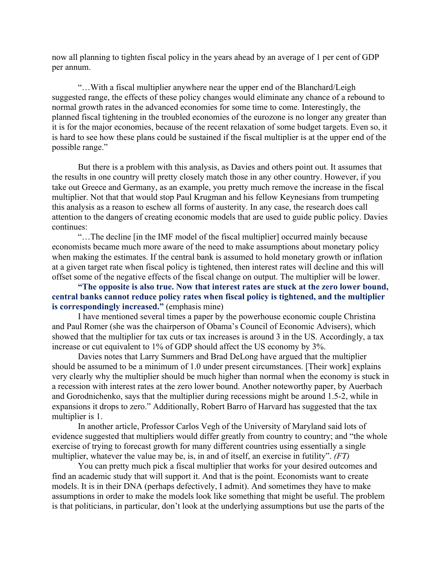now all planning to tighten fiscal policy in the years ahead by an average of 1 per cent of GDP per annum.

"…With a fiscal multiplier anywhere near the upper end of the Blanchard/Leigh suggested range, the effects of these policy changes would eliminate any chance of a rebound to normal growth rates in the advanced economies for some time to come. Interestingly, the planned fiscal tightening in the troubled economies of the eurozone is no longer any greater than it is for the major economies, because of the recent relaxation of some budget targets. Even so, it is hard to see how these plans could be sustained if the fiscal multiplier is at the upper end of the possible range."

But there is a problem with this analysis, as Davies and others point out. It assumes that the results in one country will pretty closely match those in any other country. However, if you take out Greece and Germany, as an example, you pretty much remove the increase in the fiscal multiplier. Not that that would stop Paul Krugman and his fellow Keynesians from trumpeting this analysis as a reason to eschew all forms of austerity. In any case, the research does call attention to the dangers of creating economic models that are used to guide public policy. Davies continues:

"…The decline [in the IMF model of the fiscal multiplier] occurred mainly because economists became much more aware of the need to make assumptions about monetary policy when making the estimates. If the central bank is assumed to hold monetary growth or inflation at a given target rate when fiscal policy is tightened, then interest rates will decline and this will offset some of the negative effects of the fiscal change on output. The multiplier will be lower.

## **"The opposite is also true. Now that interest rates are stuck at the zero lower bound, central banks cannot reduce policy rates when fiscal policy is tightened, and the multiplier is correspondingly increased."** (emphasis mine)

I have mentioned several times a paper by the powerhouse economic couple Christina and Paul Romer (she was the chairperson of Obama's Council of Economic Advisers), which showed that the multiplier for tax cuts or tax increases is around 3 in the US. Accordingly, a tax increase or cut equivalent to 1% of GDP should affect the US economy by 3%.

Davies notes that Larry Summers and Brad DeLong have argued that the multiplier should be assumed to be a minimum of 1.0 under present circumstances. [Their work] explains very clearly why the multiplier should be much higher than normal when the economy is stuck in a recession with interest rates at the zero lower bound. Another noteworthy paper, by Auerbach and Gorodnichenko, says that the multiplier during recessions might be around 1.5-2, while in expansions it drops to zero." Additionally, Robert Barro of Harvard has suggested that the tax multiplier is 1.

In another article, Professor Carlos Vegh of the University of Maryland said lots of evidence suggested that multipliers would differ greatly from country to country; and "the whole exercise of trying to forecast growth for many different countries using essentially a single multiplier, whatever the value may be, is, in and of itself, an exercise in futility". *(FT)*

You can pretty much pick a fiscal multiplier that works for your desired outcomes and find an academic study that will support it. And that is the point. Economists want to create models. It is in their DNA (perhaps defectively, I admit). And sometimes they have to make assumptions in order to make the models look like something that might be useful. The problem is that politicians, in particular, don't look at the underlying assumptions but use the parts of the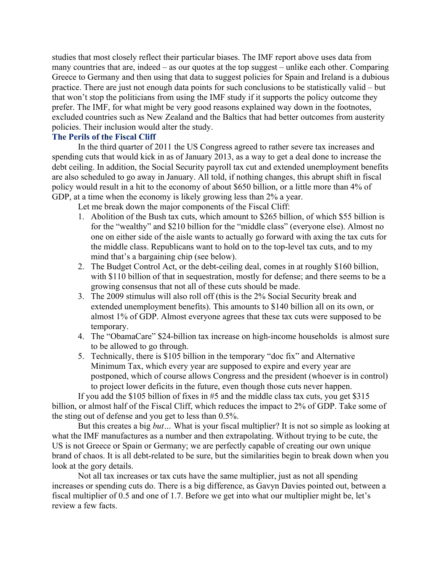studies that most closely reflect their particular biases. The IMF report above uses data from many countries that are, indeed – as our quotes at the top suggest – unlike each other. Comparing Greece to Germany and then using that data to suggest policies for Spain and Ireland is a dubious practice. There are just not enough data points for such conclusions to be statistically valid – but that won't stop the politicians from using the IMF study if it supports the policy outcome they prefer. The IMF, for what might be very good reasons explained way down in the footnotes, excluded countries such as New Zealand and the Baltics that had better outcomes from austerity policies. Their inclusion would alter the study.

### **The Perils of the Fiscal Cliff**

In the third quarter of 2011 the US Congress agreed to rather severe tax increases and spending cuts that would kick in as of January 2013, as a way to get a deal done to increase the debt ceiling. In addition, the Social Security payroll tax cut and extended unemployment benefits are also scheduled to go away in January. All told, if nothing changes, this abrupt shift in fiscal policy would result in a hit to the economy of about \$650 billion, or a little more than 4% of GDP, at a time when the economy is likely growing less than 2% a year.

Let me break down the major components of the Fiscal Cliff:

- 1. Abolition of the Bush tax cuts, which amount to \$265 billion, of which \$55 billion is for the "wealthy" and \$210 billion for the "middle class" (everyone else). Almost no one on either side of the aisle wants to actually go forward with axing the tax cuts for the middle class. Republicans want to hold on to the top-level tax cuts, and to my mind that's a bargaining chip (see below).
- 2. The Budget Control Act, or the debt-ceiling deal, comes in at roughly \$160 billion, with \$110 billion of that in sequestration, mostly for defense; and there seems to be a growing consensus that not all of these cuts should be made.
- 3. The 2009 stimulus will also roll off (this is the 2% Social Security break and extended unemployment benefits). This amounts to \$140 billion all on its own, or almost 1% of GDP. Almost everyone agrees that these tax cuts were supposed to be temporary.
- 4. The "ObamaCare" \$24-billion tax increase on high-income households is almost sure to be allowed to go through.
- 5. Technically, there is \$105 billion in the temporary "doc fix" and Alternative Minimum Tax, which every year are supposed to expire and every year are postponed, which of course allows Congress and the president (whoever is in control) to project lower deficits in the future, even though those cuts never happen.

If you add the \$105 billion of fixes in #5 and the middle class tax cuts, you get \$315 billion, or almost half of the Fiscal Cliff, which reduces the impact to 2% of GDP. Take some of the sting out of defense and you get to less than 0.5%.

But this creates a big *but…* What is your fiscal multiplier? It is not so simple as looking at what the IMF manufactures as a number and then extrapolating. Without trying to be cute, the US is not Greece or Spain or Germany; we are perfectly capable of creating our own unique brand of chaos. It is all debt-related to be sure, but the similarities begin to break down when you look at the gory details.

Not all tax increases or tax cuts have the same multiplier, just as not all spending increases or spending cuts do. There is a big difference, as Gavyn Davies pointed out, between a fiscal multiplier of 0.5 and one of 1.7. Before we get into what our multiplier might be, let's review a few facts.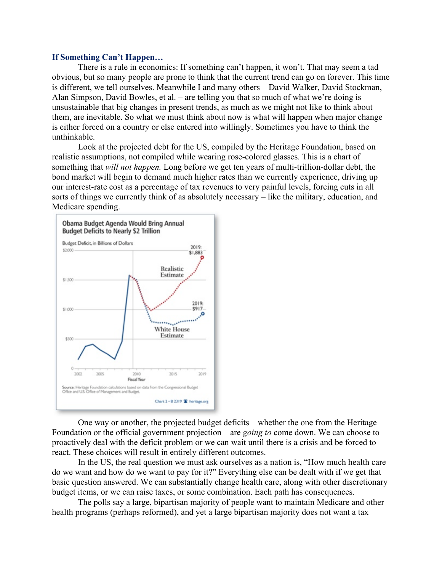### **If Something Can't Happen…**

There is a rule in economics: If something can't happen, it won't. That may seem a tad obvious, but so many people are prone to think that the current trend can go on forever. This time is different, we tell ourselves. Meanwhile I and many others – David Walker, David Stockman, Alan Simpson, David Bowles, et al. – are telling you that so much of what we're doing is unsustainable that big changes in present trends, as much as we might not like to think about them, are inevitable. So what we must think about now is what will happen when major change is either forced on a country or else entered into willingly. Sometimes you have to think the unthinkable.

Look at the projected debt for the US, compiled by the Heritage Foundation, based on realistic assumptions, not compiled while wearing rose-colored glasses. This is a chart of something that *will not happen.* Long before we get ten years of multi-trillion-dollar debt, the bond market will begin to demand much higher rates than we currently experience, driving up our interest-rate cost as a percentage of tax revenues to very painful levels, forcing cuts in all sorts of things we currently think of as absolutely necessary – like the military, education, and Medicare spending.



One way or another, the projected budget deficits – whether the one from the Heritage Foundation or the official government projection – are *going to* come down. We can choose to proactively deal with the deficit problem or we can wait until there is a crisis and be forced to react. These choices will result in entirely different outcomes.

In the US, the real question we must ask ourselves as a nation is, "How much health care do we want and how do we want to pay for it?" Everything else can be dealt with if we get that basic question answered. We can substantially change health care, along with other discretionary budget items, or we can raise taxes, or some combination. Each path has consequences.

The polls say a large, bipartisan majority of people want to maintain Medicare and other health programs (perhaps reformed), and yet a large bipartisan majority does not want a tax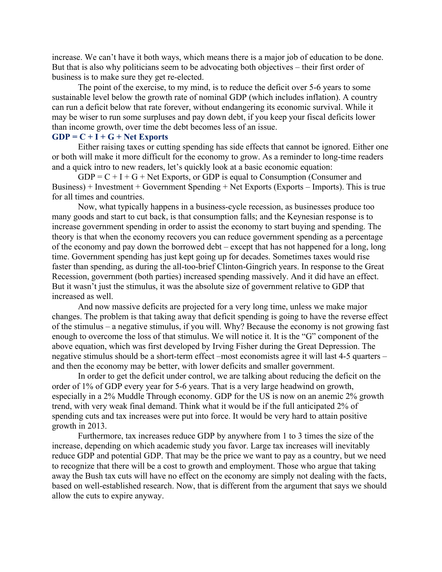increase. We can't have it both ways, which means there is a major job of education to be done. But that is also why politicians seem to be advocating both objectives – their first order of business is to make sure they get re-elected.

The point of the exercise, to my mind, is to reduce the deficit over 5-6 years to some sustainable level below the growth rate of nominal GDP (which includes inflation). A country can run a deficit below that rate forever, without endangering its economic survival. While it may be wiser to run some surpluses and pay down debt, if you keep your fiscal deficits lower than income growth, over time the debt becomes less of an issue.

## **GDP = C + I + G + Net Exports**

Either raising taxes or cutting spending has side effects that cannot be ignored. Either one or both will make it more difficult for the economy to grow. As a reminder to long-time readers and a quick intro to new readers, let's quickly look at a basic economic equation:

 $GDP = C + I + G + Net$  Exports, or GDP is equal to Consumption (Consumer and Business) + Investment + Government Spending + Net Exports (Exports – Imports). This is true for all times and countries.

Now, what typically happens in a business-cycle recession, as businesses produce too many goods and start to cut back, is that consumption falls; and the Keynesian response is to increase government spending in order to assist the economy to start buying and spending. The theory is that when the economy recovers you can reduce government spending as a percentage of the economy and pay down the borrowed debt – except that has not happened for a long, long time. Government spending has just kept going up for decades. Sometimes taxes would rise faster than spending, as during the all-too-brief Clinton-Gingrich years. In response to the Great Recession, government (both parties) increased spending massively. And it did have an effect. But it wasn't just the stimulus, it was the absolute size of government relative to GDP that increased as well.

And now massive deficits are projected for a very long time, unless we make major changes. The problem is that taking away that deficit spending is going to have the reverse effect of the stimulus – a negative stimulus, if you will. Why? Because the economy is not growing fast enough to overcome the loss of that stimulus. We will notice it. It is the "G" component of the above equation, which was first developed by Irving Fisher during the Great Depression. The negative stimulus should be a short-term effect –most economists agree it will last 4-5 quarters – and then the economy may be better, with lower deficits and smaller government.

In order to get the deficit under control, we are talking about reducing the deficit on the order of 1% of GDP every year for 5-6 years. That is a very large headwind on growth, especially in a 2% Muddle Through economy. GDP for the US is now on an anemic 2% growth trend, with very weak final demand. Think what it would be if the full anticipated 2% of spending cuts and tax increases were put into force. It would be very hard to attain positive growth in 2013.

Furthermore, tax increases reduce GDP by anywhere from 1 to 3 times the size of the increase, depending on which academic study you favor. Large tax increases will inevitably reduce GDP and potential GDP. That may be the price we want to pay as a country, but we need to recognize that there will be a cost to growth and employment. Those who argue that taking away the Bush tax cuts will have no effect on the economy are simply not dealing with the facts, based on well-established research. Now, that is different from the argument that says we should allow the cuts to expire anyway.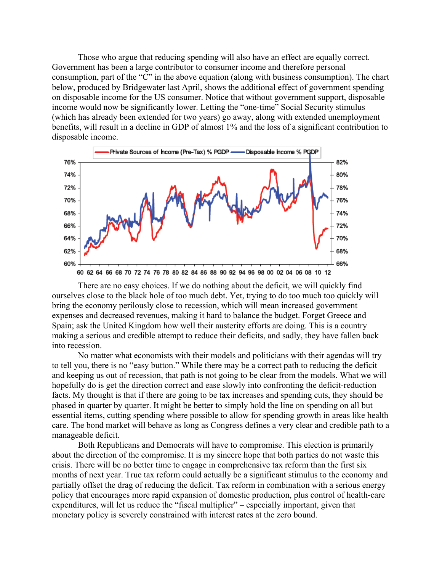Those who argue that reducing spending will also have an effect are equally correct. Government has been a large contributor to consumer income and therefore personal consumption, part of the "C" in the above equation (along with business consumption). The chart below, produced by Bridgewater last April, shows the additional effect of government spending on disposable income for the US consumer. Notice that without government support, disposable income would now be significantly lower. Letting the "one-time" Social Security stimulus (which has already been extended for two years) go away, along with extended unemployment benefits, will result in a decline in GDP of almost 1% and the loss of a significant contribution to disposable income.



There are no easy choices. If we do nothing about the deficit, we will quickly find ourselves close to the black hole of too much debt. Yet, trying to do too much too quickly will bring the economy perilously close to recession, which will mean increased government expenses and decreased revenues, making it hard to balance the budget. Forget Greece and Spain; ask the United Kingdom how well their austerity efforts are doing. This is a country making a serious and credible attempt to reduce their deficits, and sadly, they have fallen back into recession.

No matter what economists with their models and politicians with their agendas will try to tell you, there is no "easy button." While there may be a correct path to reducing the deficit and keeping us out of recession, that path is not going to be clear from the models. What we will hopefully do is get the direction correct and ease slowly into confronting the deficit-reduction facts. My thought is that if there are going to be tax increases and spending cuts, they should be phased in quarter by quarter. It might be better to simply hold the line on spending on all but essential items, cutting spending where possible to allow for spending growth in areas like health care. The bond market will behave as long as Congress defines a very clear and credible path to a manageable deficit.

Both Republicans and Democrats will have to compromise. This election is primarily about the direction of the compromise. It is my sincere hope that both parties do not waste this crisis. There will be no better time to engage in comprehensive tax reform than the first six months of next year. True tax reform could actually be a significant stimulus to the economy and partially offset the drag of reducing the deficit. Tax reform in combination with a serious energy policy that encourages more rapid expansion of domestic production, plus control of health-care expenditures, will let us reduce the "fiscal multiplier" – especially important, given that monetary policy is severely constrained with interest rates at the zero bound.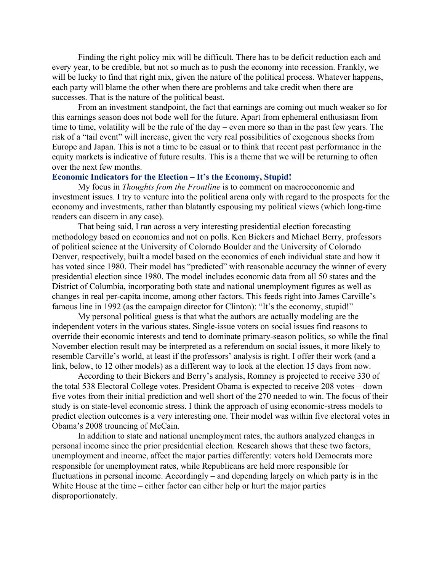Finding the right policy mix will be difficult. There has to be deficit reduction each and every year, to be credible, but not so much as to push the economy into recession. Frankly, we will be lucky to find that right mix, given the nature of the political process. Whatever happens, each party will blame the other when there are problems and take credit when there are successes. That is the nature of the political beast.

From an investment standpoint, the fact that earnings are coming out much weaker so for this earnings season does not bode well for the future. Apart from ephemeral enthusiasm from time to time, volatility will be the rule of the day – even more so than in the past few years. The risk of a "tail event" will increase, given the very real possibilities of exogenous shocks from Europe and Japan. This is not a time to be casual or to think that recent past performance in the equity markets is indicative of future results. This is a theme that we will be returning to often over the next few months.

#### **Economic Indicators for the Election – It's the Economy, Stupid!**

My focus in *Thoughts from the Frontline* is to comment on macroeconomic and investment issues. I try to venture into the political arena only with regard to the prospects for the economy and investments, rather than blatantly espousing my political views (which long-time readers can discern in any case).

That being said, I ran across a very interesting presidential election forecasting methodology based on economics and not on polls. Ken Bickers and Michael Berry, professors of political science at the University of Colorado Boulder and the University of Colorado Denver, respectively, built a model based on the economics of each individual state and how it has voted since 1980. Their model has "predicted" with reasonable accuracy the winner of every presidential election since 1980. The model includes economic data from all 50 states and the District of Columbia, incorporating both state and national unemployment figures as well as changes in real per-capita income, among other factors. This feeds right into James Carville's famous line in 1992 (as the campaign director for Clinton): "It's the economy, stupid!"

My personal political guess is that what the authors are actually modeling are the independent voters in the various states. Single-issue voters on social issues find reasons to override their economic interests and tend to dominate primary-season politics, so while the final November election result may be interpreted as a referendum on social issues, it more likely to resemble Carville's world, at least if the professors' analysis is right. I offer their work (and a link, below, to 12 other models) as a different way to look at the election 15 days from now.

According to their Bickers and Berry's analysis, Romney is projected to receive 330 of the total 538 Electoral College votes. President Obama is expected to receive 208 votes – down five votes from their initial prediction and well short of the 270 needed to win. The focus of their study is on state-level economic stress. I think the approach of using economic-stress models to predict election outcomes is a very interesting one. Their model was within five electoral votes in Obama's 2008 trouncing of McCain.

In addition to state and national unemployment rates, the authors analyzed changes in personal income since the prior presidential election. Research shows that these two factors, unemployment and income, affect the major parties differently: voters hold Democrats more responsible for unemployment rates, while Republicans are held more responsible for fluctuations in personal income. Accordingly – and depending largely on which party is in the White House at the time – either factor can either help or hurt the major parties disproportionately.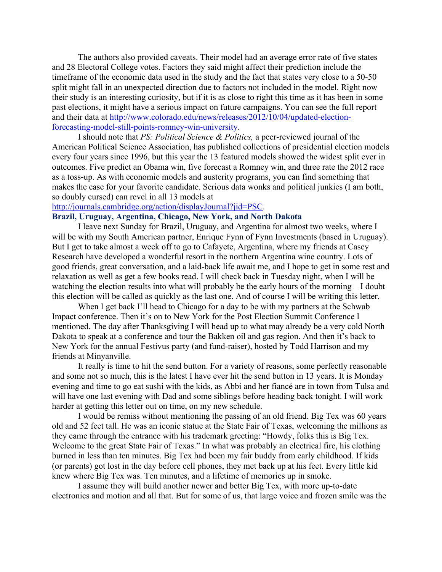The authors also provided caveats. Their model had an average error rate of five states and 28 Electoral College votes. Factors they said might affect their prediction include the timeframe of the economic data used in the study and the fact that states very close to a 50-50 split might fall in an unexpected direction due to factors not included in the model. Right now their study is an interesting curiosity, but if it is as close to right this time as it has been in some past elections, it might have a serious impact on future campaigns. You can see the full report and their data at http://www.colorado.edu/news/releases/2012/10/04/updated-electionforecasting-model-still-points-romney-win-university.

I should note that *PS: Political Science & Politics,* a peer-reviewed journal of the American Political Science Association, has published collections of presidential election models every four years since 1996, but this year the 13 featured models showed the widest split ever in outcomes. Five predict an Obama win, five forecast a Romney win, and three rate the 2012 race as a toss-up. As with economic models and austerity programs, you can find something that makes the case for your favorite candidate. Serious data wonks and political junkies (I am both, so doubly cursed) can revel in all 13 models at

#### http://journals.cambridge.org/action/displayJournal?jid=PSC.

### **Brazil, Uruguay, Argentina, Chicago, New York, and North Dakota**

I leave next Sunday for Brazil, Uruguay, and Argentina for almost two weeks, where I will be with my South American partner, Enrique Fynn of Fynn Investments (based in Uruguay). But I get to take almost a week off to go to Cafayete, Argentina, where my friends at Casey Research have developed a wonderful resort in the northern Argentina wine country. Lots of good friends, great conversation, and a laid-back life await me, and I hope to get in some rest and relaxation as well as get a few books read. I will check back in Tuesday night, when I will be watching the election results into what will probably be the early hours of the morning – I doubt this election will be called as quickly as the last one. And of course I will be writing this letter.

When I get back I'll head to Chicago for a day to be with my partners at the Schwab Impact conference. Then it's on to New York for the Post Election Summit Conference I mentioned. The day after Thanksgiving I will head up to what may already be a very cold North Dakota to speak at a conference and tour the Bakken oil and gas region. And then it's back to New York for the annual Festivus party (and fund-raiser), hosted by Todd Harrison and my friends at Minyanville.

It really is time to hit the send button. For a variety of reasons, some perfectly reasonable and some not so much, this is the latest I have ever hit the send button in 13 years. It is Monday evening and time to go eat sushi with the kids, as Abbi and her fiancé are in town from Tulsa and will have one last evening with Dad and some siblings before heading back tonight. I will work harder at getting this letter out on time, on my new schedule.

I would be remiss without mentioning the passing of an old friend. Big Tex was 60 years old and 52 feet tall. He was an iconic statue at the State Fair of Texas, welcoming the millions as they came through the entrance with his trademark greeting: "Howdy, folks this is Big Tex. Welcome to the great State Fair of Texas." In what was probably an electrical fire, his clothing burned in less than ten minutes. Big Tex had been my fair buddy from early childhood. If kids (or parents) got lost in the day before cell phones, they met back up at his feet. Every little kid knew where Big Tex was. Ten minutes, and a lifetime of memories up in smoke.

I assume they will build another newer and better Big Tex, with more up-to-date electronics and motion and all that. But for some of us, that large voice and frozen smile was the